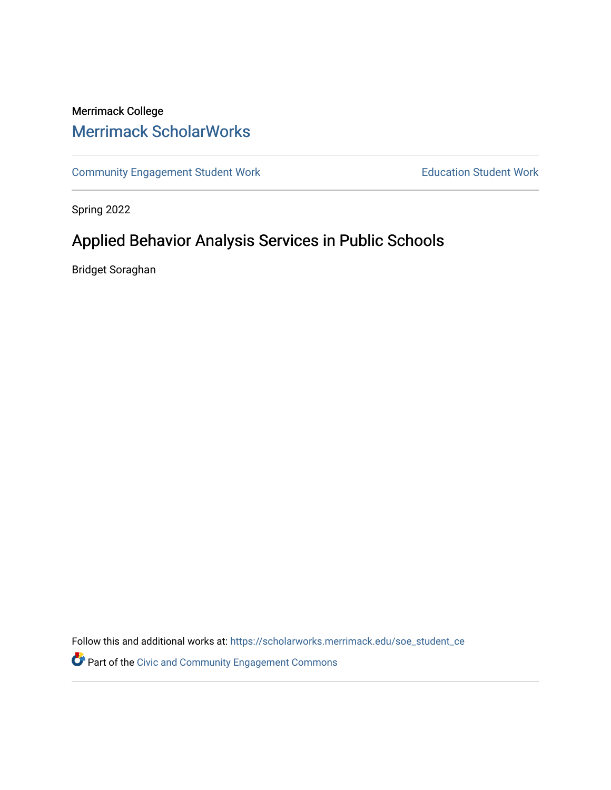# Merrimack College [Merrimack ScholarWorks](https://scholarworks.merrimack.edu/)

[Community Engagement Student Work](https://scholarworks.merrimack.edu/soe_student_ce) **Education Student Work** Education Student Work

Spring 2022

# Applied Behavior Analysis Services in Public Schools

Bridget Soraghan

Follow this and additional works at: [https://scholarworks.merrimack.edu/soe\\_student\\_ce](https://scholarworks.merrimack.edu/soe_student_ce?utm_source=scholarworks.merrimack.edu%2Fsoe_student_ce%2F87&utm_medium=PDF&utm_campaign=PDFCoverPages) 

Part of the [Civic and Community Engagement Commons](http://network.bepress.com/hgg/discipline/1028?utm_source=scholarworks.merrimack.edu%2Fsoe_student_ce%2F87&utm_medium=PDF&utm_campaign=PDFCoverPages)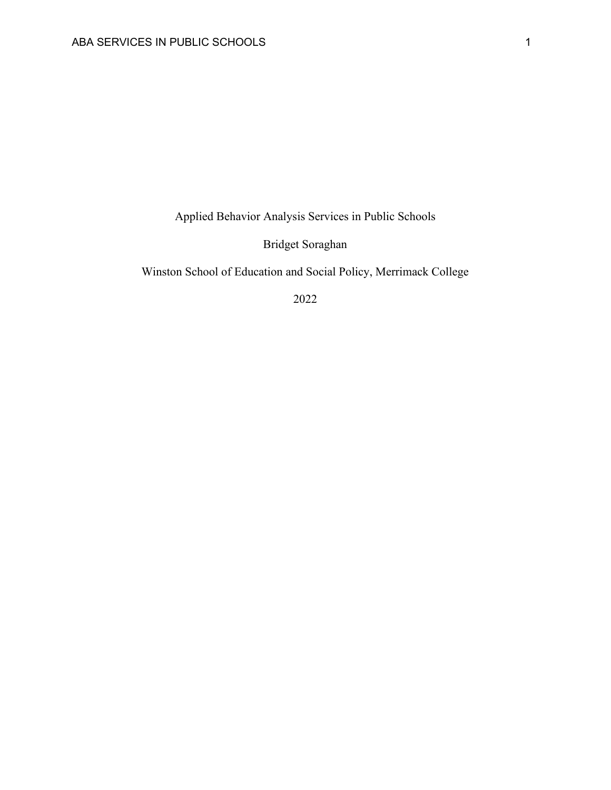Applied Behavior Analysis Services in Public Schools

Bridget Soraghan

Winston School of Education and Social Policy, Merrimack College

2022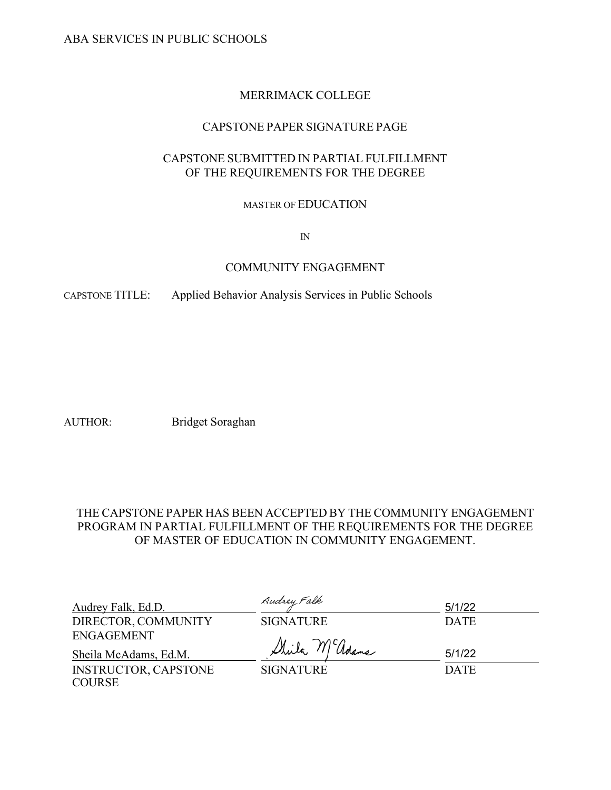# MERRIMACK COLLEGE

# CAPSTONE PAPER SIGNATURE PAGE

# CAPSTONE SUBMITTED IN PARTIAL FULFILLMENT OF THE REQUIREMENTS FOR THE DEGREE

# MASTER OF EDUCATION

IN

# COMMUNITY ENGAGEMENT

CAPSTONE TITLE: Applied Behavior Analysis Services in Public Schools

AUTHOR: Bridget Soraghan

# THE CAPSTONE PAPER HAS BEEN ACCEPTED BY THE COMMUNITY ENGAGEMENT PROGRAM IN PARTIAL FULFILLMENT OF THE REQUIREMENTS FOR THE DEGREE OF MASTER OF EDUCATION IN COMMUNITY ENGAGEMENT.

| Audrey Falk, Ed.D.          | Audrey Falk      | 5/1/22      |
|-----------------------------|------------------|-------------|
| DIRECTOR, COMMUNITY         | <b>SIGNATURE</b> | <b>DATE</b> |
| ENGAGEMENT                  |                  |             |
| Sheila McAdams, Ed.M.       | Sheila McGolame  | 5/1/22      |
| <b>INSTRUCTOR, CAPSTONE</b> | <b>SIGNATURE</b> | <b>DATE</b> |
| <b>COURSE</b>               |                  |             |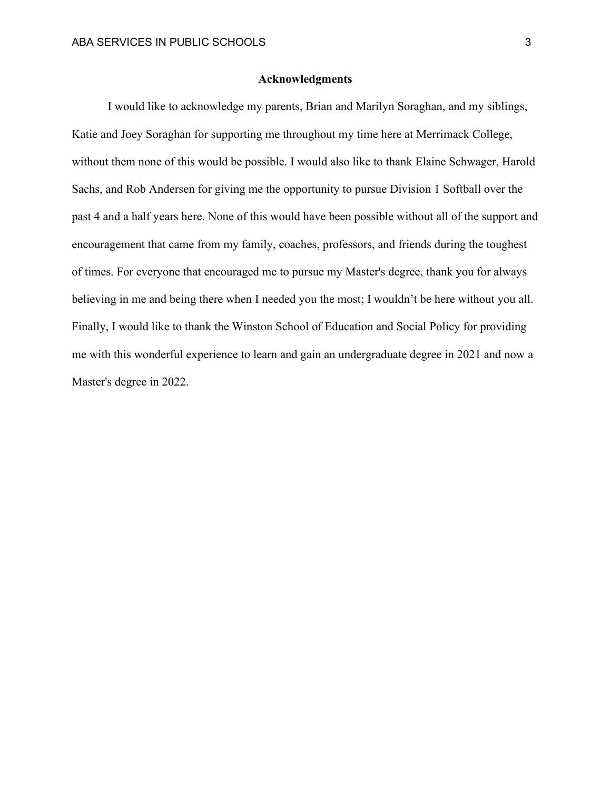### **Acknowledgments**

I would like to acknowledge my parents, Brian and Marilyn Soraghan, and my siblings, Katie and Joey Soraghan for supporting me throughout my time here at Merrimack College, without them none of this would be possible. I would also like to thank Elaine Schwager, Harold Sachs, and Rob Andersen for giving me the opportunity to pursue Division 1 Softball over the past 4 and a half years here. None of this would have been possible without all of the support and encouragement that came from my family, coaches, professors, and friends during the toughest of times. For everyone that encouraged me to pursue my Master's degree, thank you for always believing in me and being there when I needed you the most; I wouldn't be here without you all. Finally, I would like to thank the Winston School of Education and Social Policy for providing me with this wonderful experience to learn and gain an undergraduate degree in 2021 and now a Master's degree in 2022.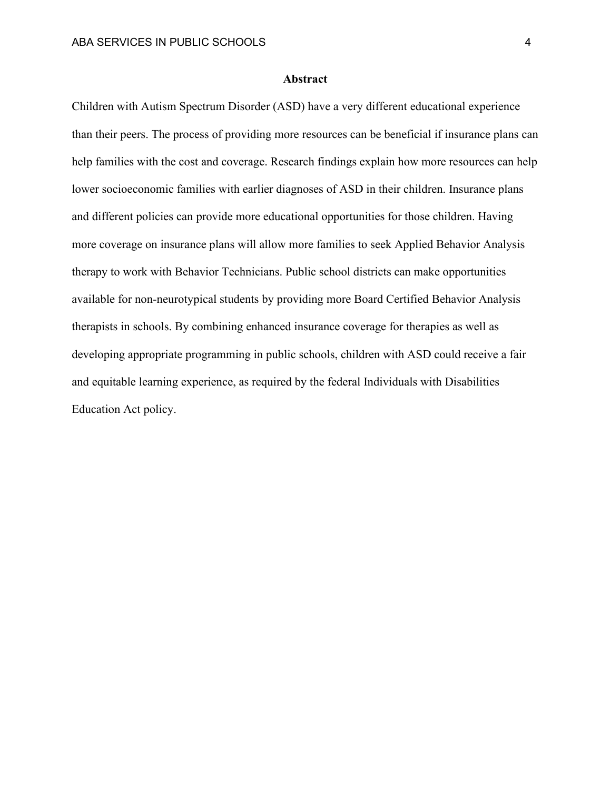#### **Abstract**

Children with Autism Spectrum Disorder (ASD) have a very different educational experience than their peers. The process of providing more resources can be beneficial if insurance plans can help families with the cost and coverage. Research findings explain how more resources can help lower socioeconomic families with earlier diagnoses of ASD in their children. Insurance plans and different policies can provide more educational opportunities for those children. Having more coverage on insurance plans will allow more families to seek Applied Behavior Analysis therapy to work with Behavior Technicians. Public school districts can make opportunities available for non-neurotypical students by providing more Board Certified Behavior Analysis therapists in schools. By combining enhanced insurance coverage for therapies as well as developing appropriate programming in public schools, children with ASD could receive a fair and equitable learning experience, as required by the federal Individuals with Disabilities Education Act policy.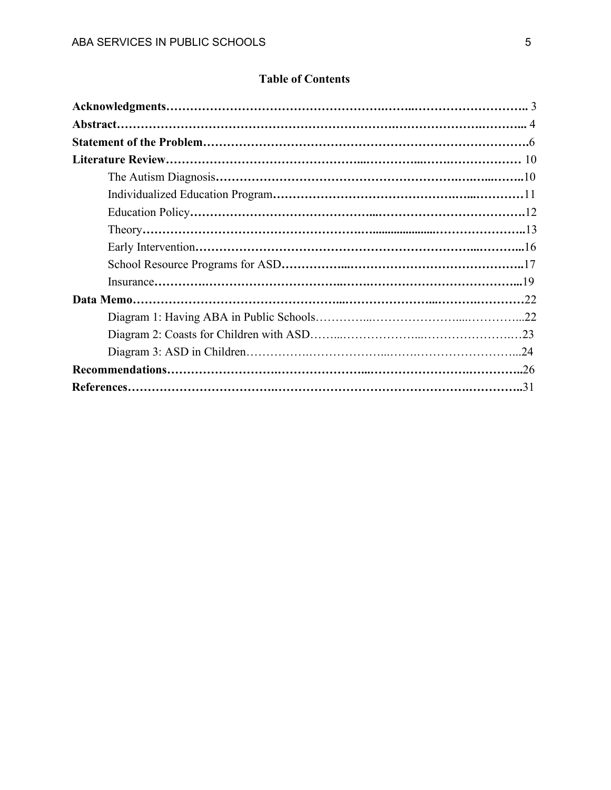# **Table of Contents**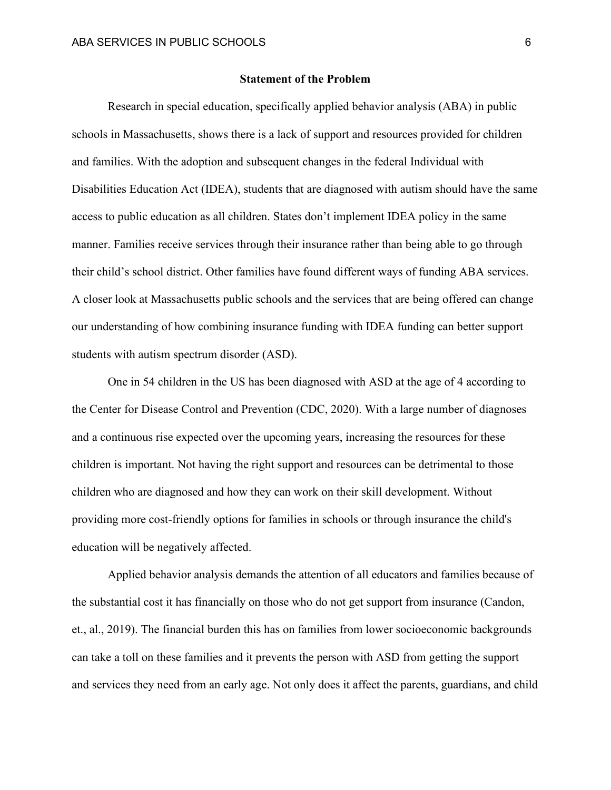#### **Statement of the Problem**

Research in special education, specifically applied behavior analysis (ABA) in public schools in Massachusetts, shows there is a lack of support and resources provided for children and families. With the adoption and subsequent changes in the federal Individual with Disabilities Education Act (IDEA), students that are diagnosed with autism should have the same access to public education as all children. States don't implement IDEA policy in the same manner. Families receive services through their insurance rather than being able to go through their child's school district. Other families have found different ways of funding ABA services. A closer look at Massachusetts public schools and the services that are being offered can change our understanding of how combining insurance funding with IDEA funding can better support students with autism spectrum disorder (ASD).

One in 54 children in the US has been diagnosed with ASD at the age of 4 according to the Center for Disease Control and Prevention (CDC, 2020). With a large number of diagnoses and a continuous rise expected over the upcoming years, increasing the resources for these children is important. Not having the right support and resources can be detrimental to those children who are diagnosed and how they can work on their skill development. Without providing more cost-friendly options for families in schools or through insurance the child's education will be negatively affected.

Applied behavior analysis demands the attention of all educators and families because of the substantial cost it has financially on those who do not get support from insurance (Candon, et., al., 2019). The financial burden this has on families from lower socioeconomic backgrounds can take a toll on these families and it prevents the person with ASD from getting the support and services they need from an early age. Not only does it affect the parents, guardians, and child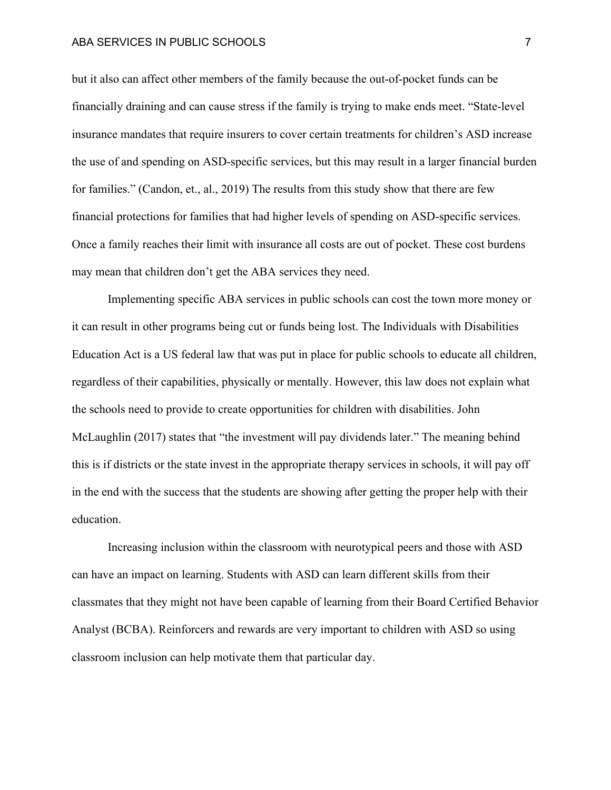#### ABA SERVICES IN PUBLIC SCHOOLS 7

but it also can affect other members of the family because the out-of-pocket funds can be financially draining and can cause stress if the family is trying to make ends meet. "State-level insurance mandates that require insurers to cover certain treatments for children's ASD increase the use of and spending on ASD-specific services, but this may result in a larger financial burden for families." (Candon, et., al., 2019) The results from this study show that there are few financial protections for families that had higher levels of spending on ASD-specific services. Once a family reaches their limit with insurance all costs are out of pocket. These cost burdens may mean that children don't get the ABA services they need.

Implementing specific ABA services in public schools can cost the town more money or it can result in other programs being cut or funds being lost. The Individuals with Disabilities Education Act is a US federal law that was put in place for public schools to educate all children, regardless of their capabilities, physically or mentally. However, this law does not explain what the schools need to provide to create opportunities for children with disabilities. John McLaughlin (2017) states that "the investment will pay dividends later." The meaning behind this is if districts or the state invest in the appropriate therapy services in schools, it will pay off in the end with the success that the students are showing after getting the proper help with their education.

Increasing inclusion within the classroom with neurotypical peers and those with ASD can have an impact on learning. Students with ASD can learn different skills from their classmates that they might not have been capable of learning from their Board Certified Behavior Analyst (BCBA). Reinforcers and rewards are very important to children with ASD so using classroom inclusion can help motivate them that particular day.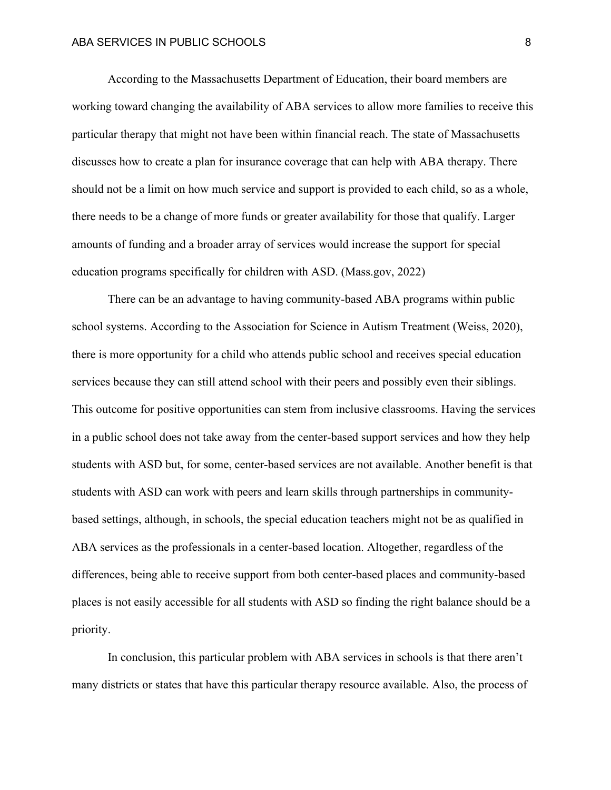According to the Massachusetts Department of Education, their board members are working toward changing the availability of ABA services to allow more families to receive this particular therapy that might not have been within financial reach. The state of Massachusetts discusses how to create a plan for insurance coverage that can help with ABA therapy. There should not be a limit on how much service and support is provided to each child, so as a whole, there needs to be a change of more funds or greater availability for those that qualify. Larger amounts of funding and a broader array of services would increase the support for special education programs specifically for children with ASD. (Mass.gov, 2022)

There can be an advantage to having community-based ABA programs within public school systems. According to the Association for Science in Autism Treatment (Weiss, 2020), there is more opportunity for a child who attends public school and receives special education services because they can still attend school with their peers and possibly even their siblings. This outcome for positive opportunities can stem from inclusive classrooms. Having the services in a public school does not take away from the center-based support services and how they help students with ASD but, for some, center-based services are not available. Another benefit is that students with ASD can work with peers and learn skills through partnerships in communitybased settings, although, in schools, the special education teachers might not be as qualified in ABA services as the professionals in a center-based location. Altogether, regardless of the differences, being able to receive support from both center-based places and community-based places is not easily accessible for all students with ASD so finding the right balance should be a priority.

In conclusion, this particular problem with ABA services in schools is that there aren't many districts or states that have this particular therapy resource available. Also, the process of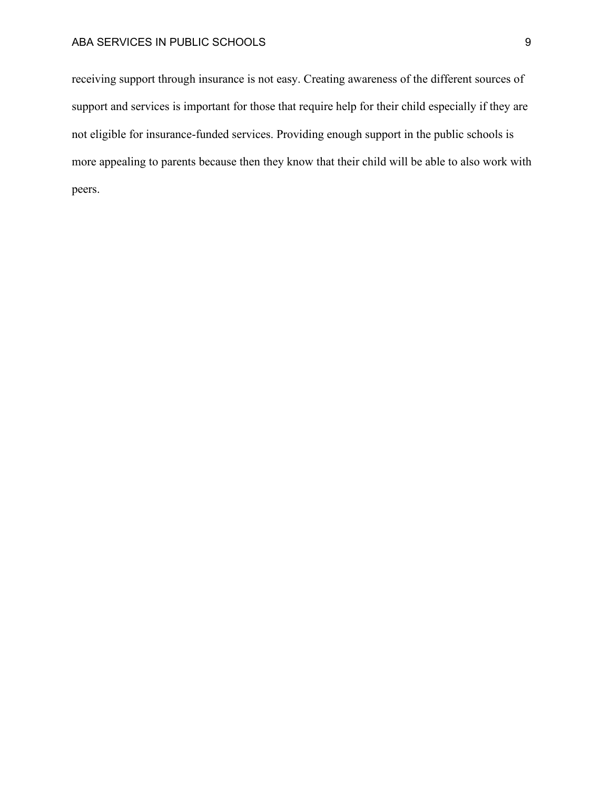## ABA SERVICES IN PUBLIC SCHOOLS 9

receiving support through insurance is not easy. Creating awareness of the different sources of support and services is important for those that require help for their child especially if they are not eligible for insurance-funded services. Providing enough support in the public schools is more appealing to parents because then they know that their child will be able to also work with peers.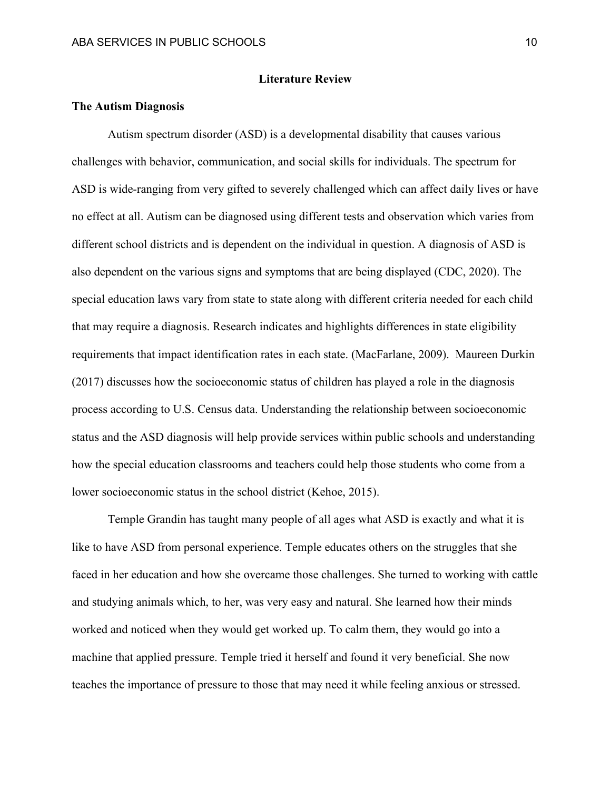### **Literature Review**

## **The Autism Diagnosis**

Autism spectrum disorder (ASD) is a developmental disability that causes various challenges with behavior, communication, and social skills for individuals. The spectrum for ASD is wide-ranging from very gifted to severely challenged which can affect daily lives or have no effect at all. Autism can be diagnosed using different tests and observation which varies from different school districts and is dependent on the individual in question. A diagnosis of ASD is also dependent on the various signs and symptoms that are being displayed (CDC, 2020). The special education laws vary from state to state along with different criteria needed for each child that may require a diagnosis. Research indicates and highlights differences in state eligibility requirements that impact identification rates in each state. (MacFarlane, 2009). Maureen Durkin (2017) discusses how the socioeconomic status of children has played a role in the diagnosis process according to U.S. Census data. Understanding the relationship between socioeconomic status and the ASD diagnosis will help provide services within public schools and understanding how the special education classrooms and teachers could help those students who come from a lower socioeconomic status in the school district (Kehoe, 2015).

Temple Grandin has taught many people of all ages what ASD is exactly and what it is like to have ASD from personal experience. Temple educates others on the struggles that she faced in her education and how she overcame those challenges. She turned to working with cattle and studying animals which, to her, was very easy and natural. She learned how their minds worked and noticed when they would get worked up. To calm them, they would go into a machine that applied pressure. Temple tried it herself and found it very beneficial. She now teaches the importance of pressure to those that may need it while feeling anxious or stressed.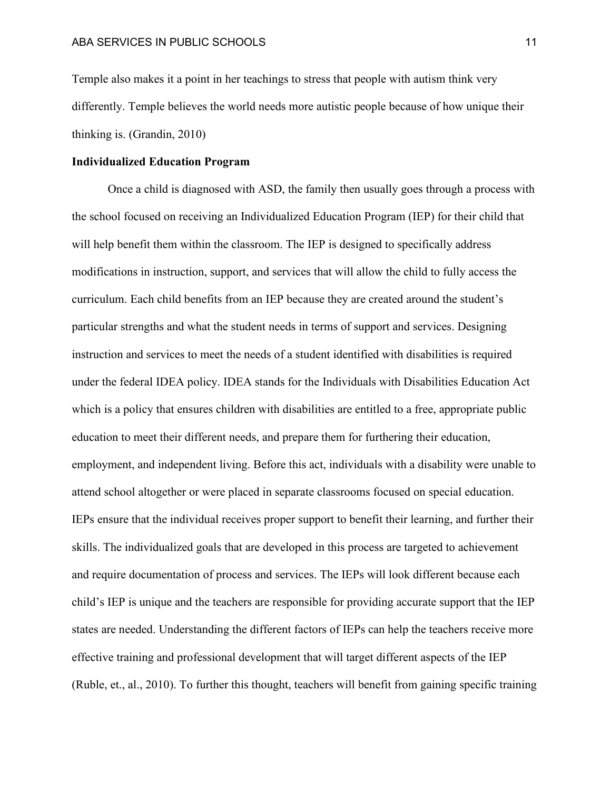Temple also makes it a point in her teachings to stress that people with autism think very differently. Temple believes the world needs more autistic people because of how unique their thinking is. (Grandin, 2010)

### **Individualized Education Program**

Once a child is diagnosed with ASD, the family then usually goes through a process with the school focused on receiving an Individualized Education Program (IEP) for their child that will help benefit them within the classroom. The IEP is designed to specifically address modifications in instruction, support, and services that will allow the child to fully access the curriculum. Each child benefits from an IEP because they are created around the student's particular strengths and what the student needs in terms of support and services. Designing instruction and services to meet the needs of a student identified with disabilities is required under the federal IDEA policy. IDEA stands for the Individuals with Disabilities Education Act which is a policy that ensures children with disabilities are entitled to a free, appropriate public education to meet their different needs, and prepare them for furthering their education, employment, and independent living. Before this act, individuals with a disability were unable to attend school altogether or were placed in separate classrooms focused on special education. IEPs ensure that the individual receives proper support to benefit their learning, and further their skills. The individualized goals that are developed in this process are targeted to achievement and require documentation of process and services. The IEPs will look different because each child's IEP is unique and the teachers are responsible for providing accurate support that the IEP states are needed. Understanding the different factors of IEPs can help the teachers receive more effective training and professional development that will target different aspects of the IEP (Ruble, et., al., 2010). To further this thought, teachers will benefit from gaining specific training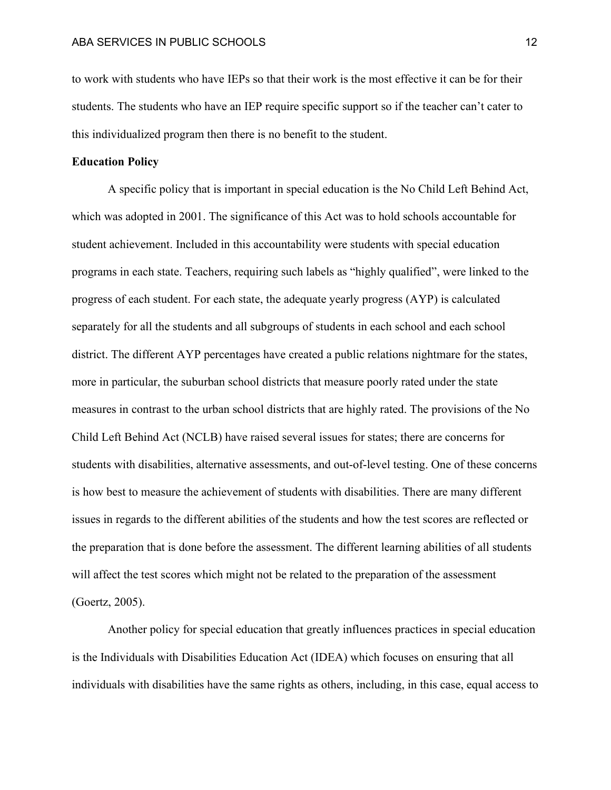to work with students who have IEPs so that their work is the most effective it can be for their students. The students who have an IEP require specific support so if the teacher can't cater to this individualized program then there is no benefit to the student.

### **Education Policy**

A specific policy that is important in special education is the No Child Left Behind Act, which was adopted in 2001. The significance of this Act was to hold schools accountable for student achievement. Included in this accountability were students with special education programs in each state. Teachers, requiring such labels as "highly qualified", were linked to the progress of each student. For each state, the adequate yearly progress (AYP) is calculated separately for all the students and all subgroups of students in each school and each school district. The different AYP percentages have created a public relations nightmare for the states, more in particular, the suburban school districts that measure poorly rated under the state measures in contrast to the urban school districts that are highly rated. The provisions of the No Child Left Behind Act (NCLB) have raised several issues for states; there are concerns for students with disabilities, alternative assessments, and out-of-level testing. One of these concerns is how best to measure the achievement of students with disabilities. There are many different issues in regards to the different abilities of the students and how the test scores are reflected or the preparation that is done before the assessment. The different learning abilities of all students will affect the test scores which might not be related to the preparation of the assessment (Goertz, 2005).

Another policy for special education that greatly influences practices in special education is the Individuals with Disabilities Education Act (IDEA) which focuses on ensuring that all individuals with disabilities have the same rights as others, including, in this case, equal access to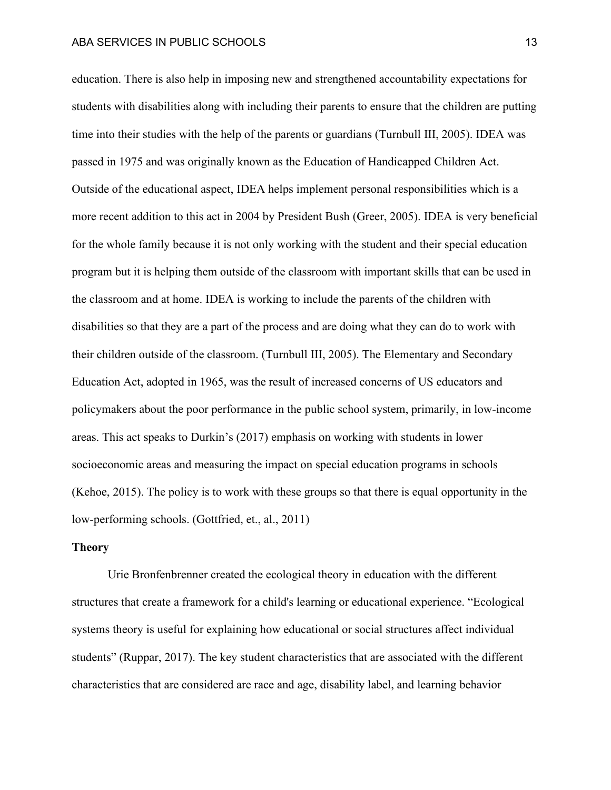#### ABA SERVICES IN PUBLIC SCHOOLS 13

education. There is also help in imposing new and strengthened accountability expectations for students with disabilities along with including their parents to ensure that the children are putting time into their studies with the help of the parents or guardians (Turnbull III, 2005). IDEA was passed in 1975 and was originally known as the Education of Handicapped Children Act. Outside of the educational aspect, IDEA helps implement personal responsibilities which is a more recent addition to this act in 2004 by President Bush (Greer, 2005). IDEA is very beneficial for the whole family because it is not only working with the student and their special education program but it is helping them outside of the classroom with important skills that can be used in the classroom and at home. IDEA is working to include the parents of the children with disabilities so that they are a part of the process and are doing what they can do to work with their children outside of the classroom. (Turnbull III, 2005). The Elementary and Secondary Education Act, adopted in 1965, was the result of increased concerns of US educators and policymakers about the poor performance in the public school system, primarily, in low-income areas. This act speaks to Durkin's (2017) emphasis on working with students in lower socioeconomic areas and measuring the impact on special education programs in schools (Kehoe, 2015). The policy is to work with these groups so that there is equal opportunity in the low-performing schools. (Gottfried, et., al., 2011)

#### **Theory**

Urie Bronfenbrenner created the ecological theory in education with the different structures that create a framework for a child's learning or educational experience. "Ecological systems theory is useful for explaining how educational or social structures affect individual students" (Ruppar, 2017). The key student characteristics that are associated with the different characteristics that are considered are race and age, disability label, and learning behavior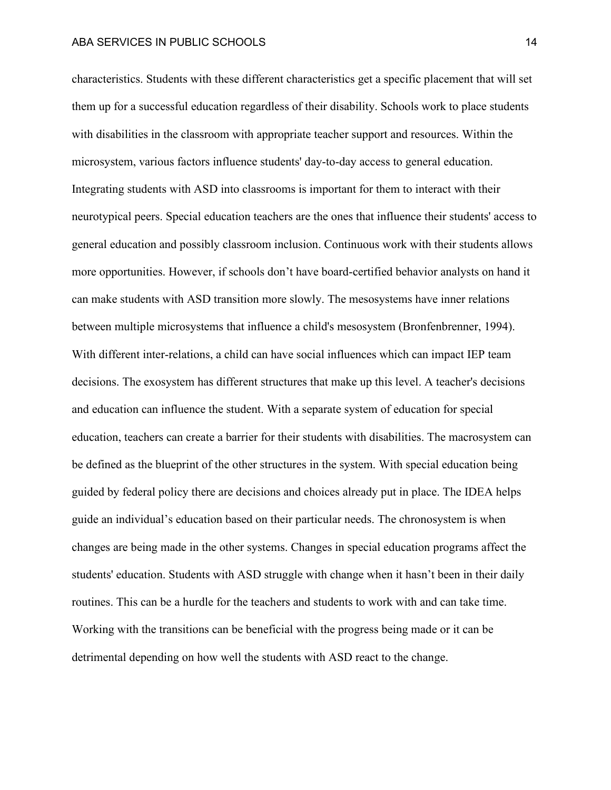characteristics. Students with these different characteristics get a specific placement that will set them up for a successful education regardless of their disability. Schools work to place students with disabilities in the classroom with appropriate teacher support and resources. Within the microsystem, various factors influence students' day-to-day access to general education. Integrating students with ASD into classrooms is important for them to interact with their neurotypical peers. Special education teachers are the ones that influence their students' access to general education and possibly classroom inclusion. Continuous work with their students allows more opportunities. However, if schools don't have board-certified behavior analysts on hand it can make students with ASD transition more slowly. The mesosystems have inner relations between multiple microsystems that influence a child's mesosystem (Bronfenbrenner, 1994). With different inter-relations, a child can have social influences which can impact IEP team decisions. The exosystem has different structures that make up this level. A teacher's decisions and education can influence the student. With a separate system of education for special education, teachers can create a barrier for their students with disabilities. The macrosystem can be defined as the blueprint of the other structures in the system. With special education being guided by federal policy there are decisions and choices already put in place. The IDEA helps guide an individual's education based on their particular needs. The chronosystem is when changes are being made in the other systems. Changes in special education programs affect the students' education. Students with ASD struggle with change when it hasn't been in their daily routines. This can be a hurdle for the teachers and students to work with and can take time. Working with the transitions can be beneficial with the progress being made or it can be detrimental depending on how well the students with ASD react to the change.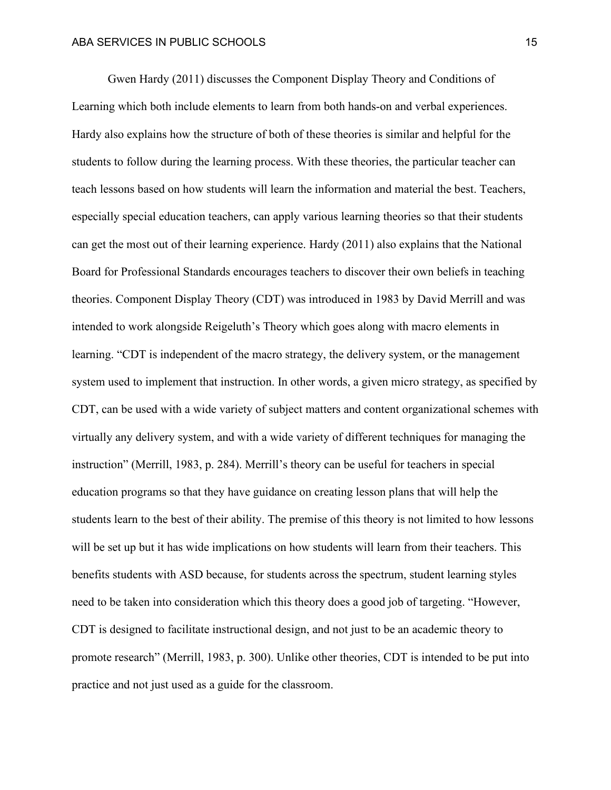Gwen Hardy (2011) discusses the Component Display Theory and Conditions of Learning which both include elements to learn from both hands-on and verbal experiences. Hardy also explains how the structure of both of these theories is similar and helpful for the students to follow during the learning process. With these theories, the particular teacher can teach lessons based on how students will learn the information and material the best. Teachers, especially special education teachers, can apply various learning theories so that their students can get the most out of their learning experience. Hardy (2011) also explains that the National Board for Professional Standards encourages teachers to discover their own beliefs in teaching theories. Component Display Theory (CDT) was introduced in 1983 by David Merrill and was intended to work alongside Reigeluth's Theory which goes along with macro elements in learning. "CDT is independent of the macro strategy, the delivery system, or the management system used to implement that instruction. In other words, a given micro strategy, as specified by CDT, can be used with a wide variety of subject matters and content organizational schemes with virtually any delivery system, and with a wide variety of different techniques for managing the instruction" (Merrill, 1983, p. 284). Merrill's theory can be useful for teachers in special education programs so that they have guidance on creating lesson plans that will help the students learn to the best of their ability. The premise of this theory is not limited to how lessons will be set up but it has wide implications on how students will learn from their teachers. This benefits students with ASD because, for students across the spectrum, student learning styles need to be taken into consideration which this theory does a good job of targeting. "However, CDT is designed to facilitate instructional design, and not just to be an academic theory to promote research" (Merrill, 1983, p. 300). Unlike other theories, CDT is intended to be put into practice and not just used as a guide for the classroom.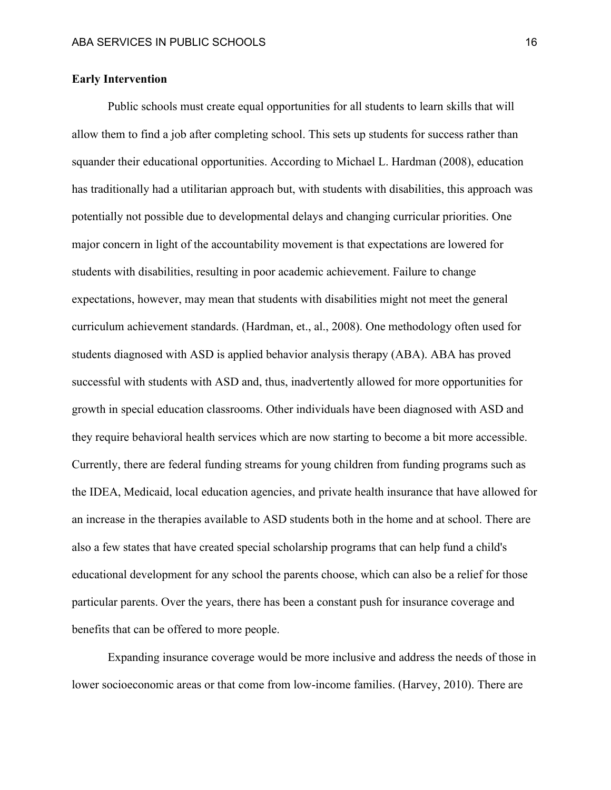## **Early Intervention**

Public schools must create equal opportunities for all students to learn skills that will allow them to find a job after completing school. This sets up students for success rather than squander their educational opportunities. According to Michael L. Hardman (2008), education has traditionally had a utilitarian approach but, with students with disabilities, this approach was potentially not possible due to developmental delays and changing curricular priorities. One major concern in light of the accountability movement is that expectations are lowered for students with disabilities, resulting in poor academic achievement. Failure to change expectations, however, may mean that students with disabilities might not meet the general curriculum achievement standards. (Hardman, et., al., 2008). One methodology often used for students diagnosed with ASD is applied behavior analysis therapy (ABA). ABA has proved successful with students with ASD and, thus, inadvertently allowed for more opportunities for growth in special education classrooms. Other individuals have been diagnosed with ASD and they require behavioral health services which are now starting to become a bit more accessible. Currently, there are federal funding streams for young children from funding programs such as the IDEA, Medicaid, local education agencies, and private health insurance that have allowed for an increase in the therapies available to ASD students both in the home and at school. There are also a few states that have created special scholarship programs that can help fund a child's educational development for any school the parents choose, which can also be a relief for those particular parents. Over the years, there has been a constant push for insurance coverage and benefits that can be offered to more people.

Expanding insurance coverage would be more inclusive and address the needs of those in lower socioeconomic areas or that come from low-income families. (Harvey, 2010). There are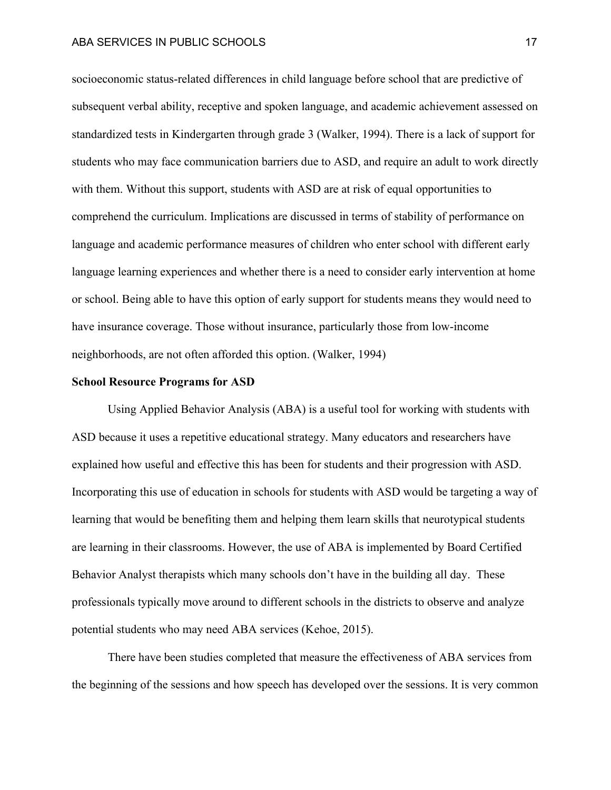socioeconomic status-related differences in child language before school that are predictive of subsequent verbal ability, receptive and spoken language, and academic achievement assessed on standardized tests in Kindergarten through grade 3 (Walker, 1994). There is a lack of support for students who may face communication barriers due to ASD, and require an adult to work directly with them. Without this support, students with ASD are at risk of equal opportunities to comprehend the curriculum. Implications are discussed in terms of stability of performance on language and academic performance measures of children who enter school with different early language learning experiences and whether there is a need to consider early intervention at home or school. Being able to have this option of early support for students means they would need to have insurance coverage. Those without insurance, particularly those from low-income neighborhoods, are not often afforded this option. (Walker, 1994)

#### **School Resource Programs for ASD**

Using Applied Behavior Analysis (ABA) is a useful tool for working with students with ASD because it uses a repetitive educational strategy. Many educators and researchers have explained how useful and effective this has been for students and their progression with ASD. Incorporating this use of education in schools for students with ASD would be targeting a way of learning that would be benefiting them and helping them learn skills that neurotypical students are learning in their classrooms. However, the use of ABA is implemented by Board Certified Behavior Analyst therapists which many schools don't have in the building all day. These professionals typically move around to different schools in the districts to observe and analyze potential students who may need ABA services (Kehoe, 2015).

There have been studies completed that measure the effectiveness of ABA services from the beginning of the sessions and how speech has developed over the sessions. It is very common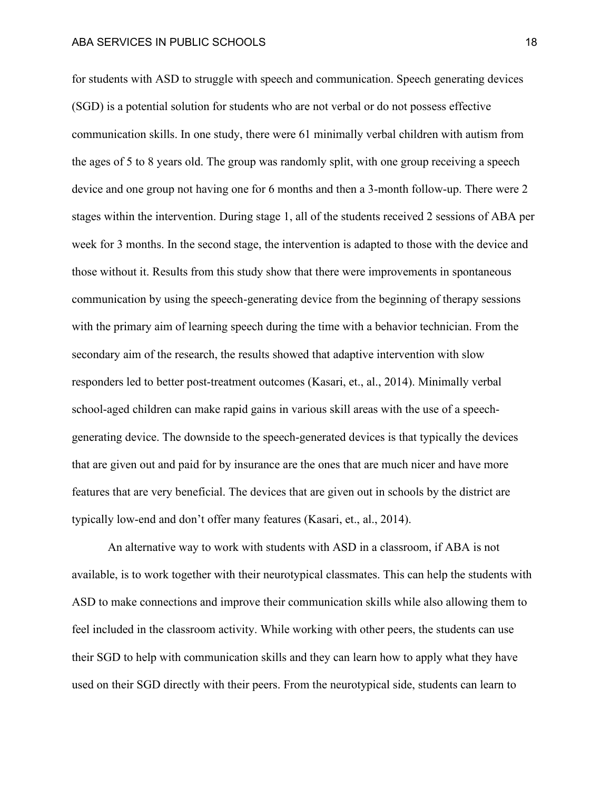for students with ASD to struggle with speech and communication. Speech generating devices (SGD) is a potential solution for students who are not verbal or do not possess effective communication skills. In one study, there were 61 minimally verbal children with autism from the ages of 5 to 8 years old. The group was randomly split, with one group receiving a speech device and one group not having one for 6 months and then a 3-month follow-up. There were 2 stages within the intervention. During stage 1, all of the students received 2 sessions of ABA per week for 3 months. In the second stage, the intervention is adapted to those with the device and those without it. Results from this study show that there were improvements in spontaneous communication by using the speech-generating device from the beginning of therapy sessions with the primary aim of learning speech during the time with a behavior technician. From the secondary aim of the research, the results showed that adaptive intervention with slow responders led to better post-treatment outcomes (Kasari, et., al., 2014). Minimally verbal school-aged children can make rapid gains in various skill areas with the use of a speechgenerating device. The downside to the speech-generated devices is that typically the devices that are given out and paid for by insurance are the ones that are much nicer and have more features that are very beneficial. The devices that are given out in schools by the district are typically low-end and don't offer many features (Kasari, et., al., 2014).

An alternative way to work with students with ASD in a classroom, if ABA is not available, is to work together with their neurotypical classmates. This can help the students with ASD to make connections and improve their communication skills while also allowing them to feel included in the classroom activity. While working with other peers, the students can use their SGD to help with communication skills and they can learn how to apply what they have used on their SGD directly with their peers. From the neurotypical side, students can learn to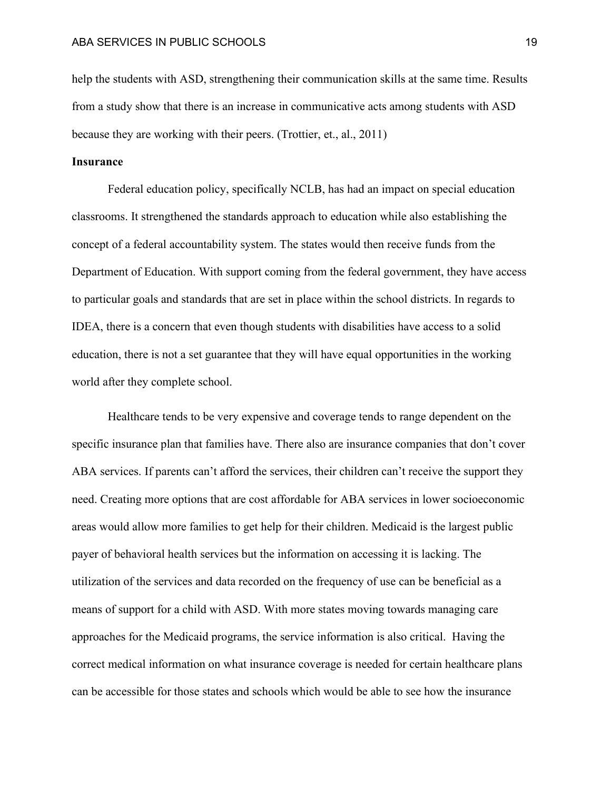help the students with ASD, strengthening their communication skills at the same time. Results from a study show that there is an increase in communicative acts among students with ASD because they are working with their peers. (Trottier, et., al., 2011)

## **Insurance**

Federal education policy, specifically NCLB, has had an impact on special education classrooms. It strengthened the standards approach to education while also establishing the concept of a federal accountability system. The states would then receive funds from the Department of Education. With support coming from the federal government, they have access to particular goals and standards that are set in place within the school districts. In regards to IDEA, there is a concern that even though students with disabilities have access to a solid education, there is not a set guarantee that they will have equal opportunities in the working world after they complete school.

Healthcare tends to be very expensive and coverage tends to range dependent on the specific insurance plan that families have. There also are insurance companies that don't cover ABA services. If parents can't afford the services, their children can't receive the support they need. Creating more options that are cost affordable for ABA services in lower socioeconomic areas would allow more families to get help for their children. Medicaid is the largest public payer of behavioral health services but the information on accessing it is lacking. The utilization of the services and data recorded on the frequency of use can be beneficial as a means of support for a child with ASD. With more states moving towards managing care approaches for the Medicaid programs, the service information is also critical. Having the correct medical information on what insurance coverage is needed for certain healthcare plans can be accessible for those states and schools which would be able to see how the insurance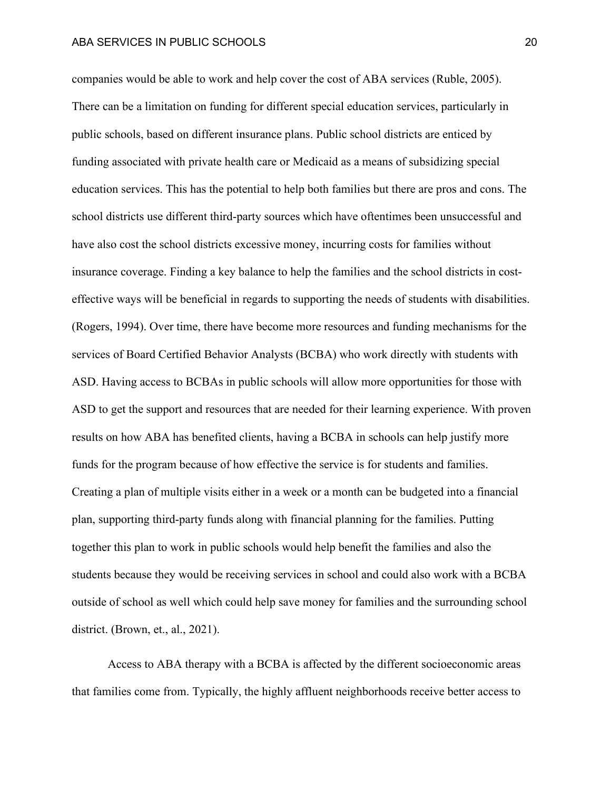companies would be able to work and help cover the cost of ABA services (Ruble, 2005). There can be a limitation on funding for different special education services, particularly in public schools, based on different insurance plans. Public school districts are enticed by funding associated with private health care or Medicaid as a means of subsidizing special education services. This has the potential to help both families but there are pros and cons. The school districts use different third-party sources which have oftentimes been unsuccessful and have also cost the school districts excessive money, incurring costs for families without insurance coverage. Finding a key balance to help the families and the school districts in costeffective ways will be beneficial in regards to supporting the needs of students with disabilities. (Rogers, 1994). Over time, there have become more resources and funding mechanisms for the services of Board Certified Behavior Analysts (BCBA) who work directly with students with ASD. Having access to BCBAs in public schools will allow more opportunities for those with ASD to get the support and resources that are needed for their learning experience. With proven results on how ABA has benefited clients, having a BCBA in schools can help justify more funds for the program because of how effective the service is for students and families. Creating a plan of multiple visits either in a week or a month can be budgeted into a financial plan, supporting third-party funds along with financial planning for the families. Putting together this plan to work in public schools would help benefit the families and also the students because they would be receiving services in school and could also work with a BCBA outside of school as well which could help save money for families and the surrounding school district. (Brown, et., al., 2021).

Access to ABA therapy with a BCBA is affected by the different socioeconomic areas that families come from. Typically, the highly affluent neighborhoods receive better access to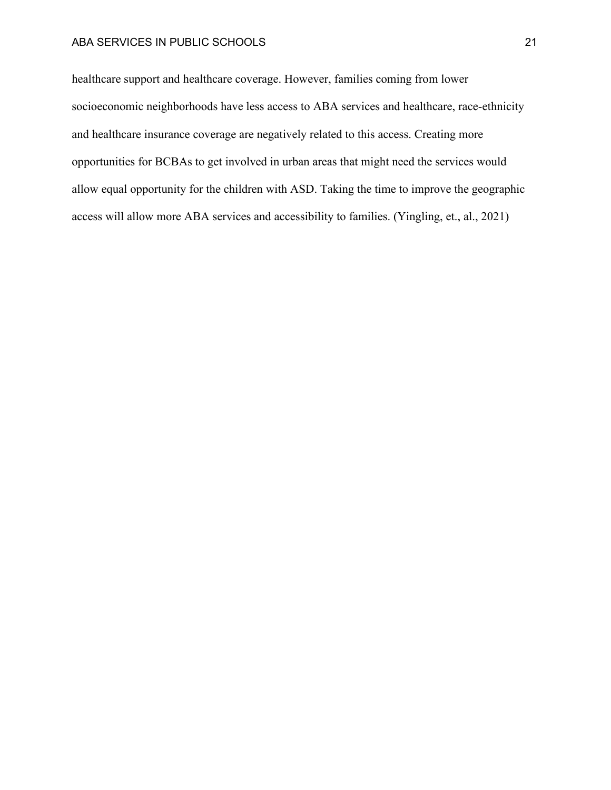healthcare support and healthcare coverage. However, families coming from lower socioeconomic neighborhoods have less access to ABA services and healthcare, race-ethnicity and healthcare insurance coverage are negatively related to this access. Creating more opportunities for BCBAs to get involved in urban areas that might need the services would allow equal opportunity for the children with ASD. Taking the time to improve the geographic access will allow more ABA services and accessibility to families. (Yingling, et., al., 2021)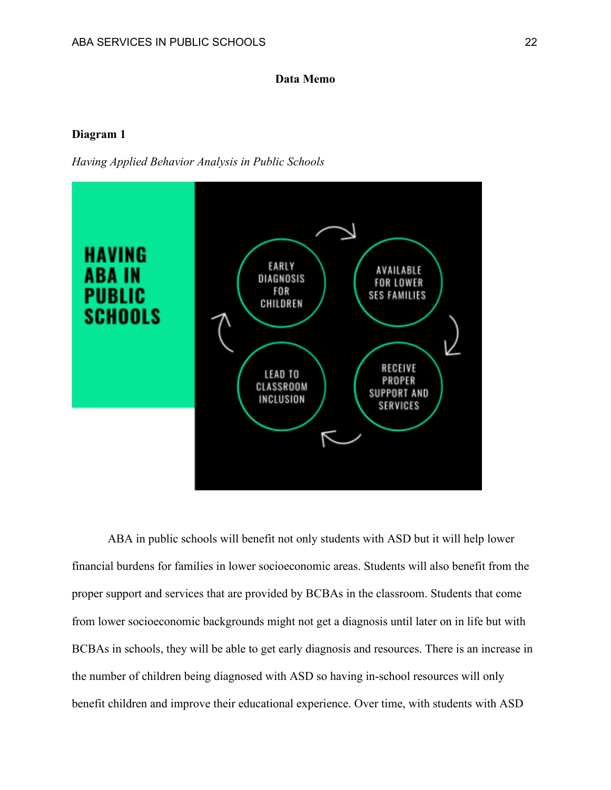## **Data Memo**

## **Diagram 1**

*Having Applied Behavior Analysis in Public Schools*



ABA in public schools will benefit not only students with ASD but it will help lower financial burdens for families in lower socioeconomic areas. Students will also benefit from the proper support and services that are provided by BCBAs in the classroom. Students that come from lower socioeconomic backgrounds might not get a diagnosis until later on in life but with BCBAs in schools, they will be able to get early diagnosis and resources. There is an increase in the number of children being diagnosed with ASD so having in-school resources will only benefit children and improve their educational experience. Over time, with students with ASD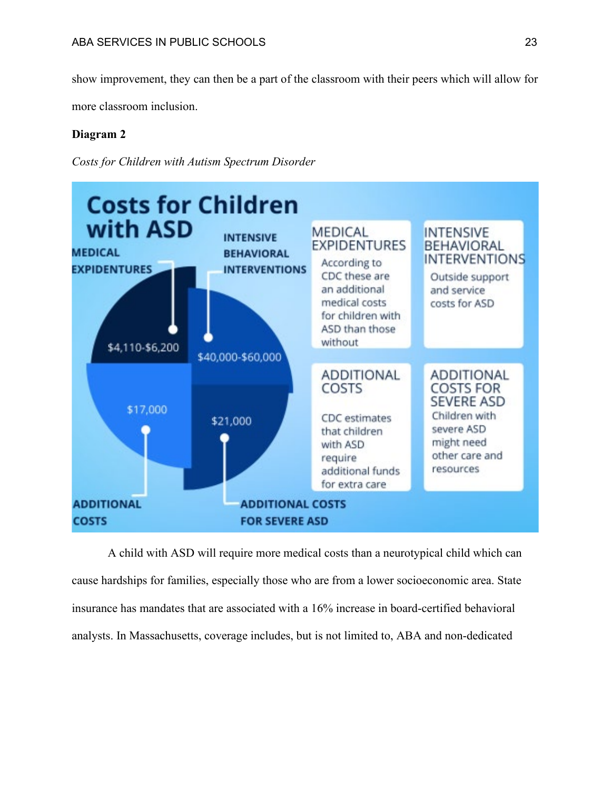show improvement, they can then be a part of the classroom with their peers which will allow for

more classroom inclusion.

# **Diagram 2**

*Costs for Children with Autism Spectrum Disorder*



A child with ASD will require more medical costs than a neurotypical child which can cause hardships for families, especially those who are from a lower socioeconomic area. State insurance has mandates that are associated with a 16% increase in board-certified behavioral analysts. In Massachusetts, coverage includes, but is not limited to, ABA and non-dedicated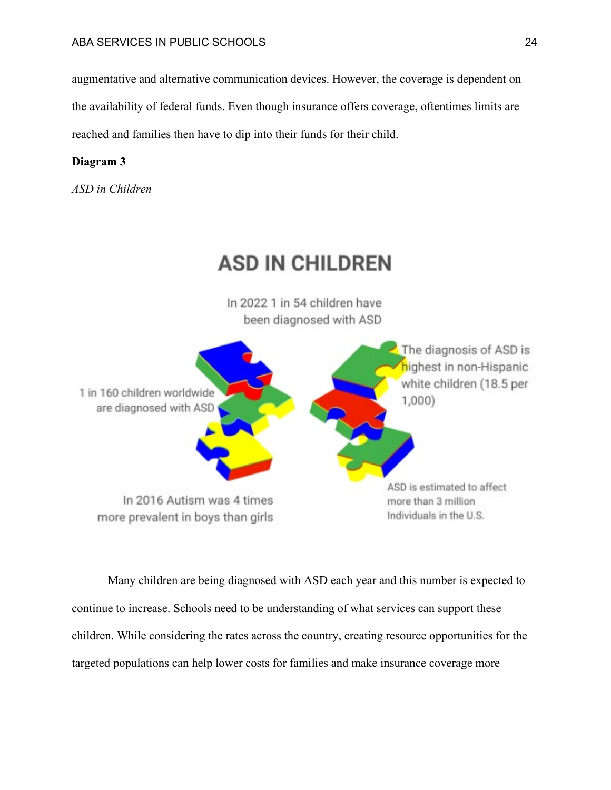augmentative and alternative communication devices. However, the coverage is dependent on the availability of federal funds. Even though insurance offers coverage, oftentimes limits are reached and families then have to dip into their funds for their child.

# **Diagram 3**

*ASD in Children*



Many children are being diagnosed with ASD each year and this number is expected to continue to increase. Schools need to be understanding of what services can support these children. While considering the rates across the country, creating resource opportunities for the targeted populations can help lower costs for families and make insurance coverage more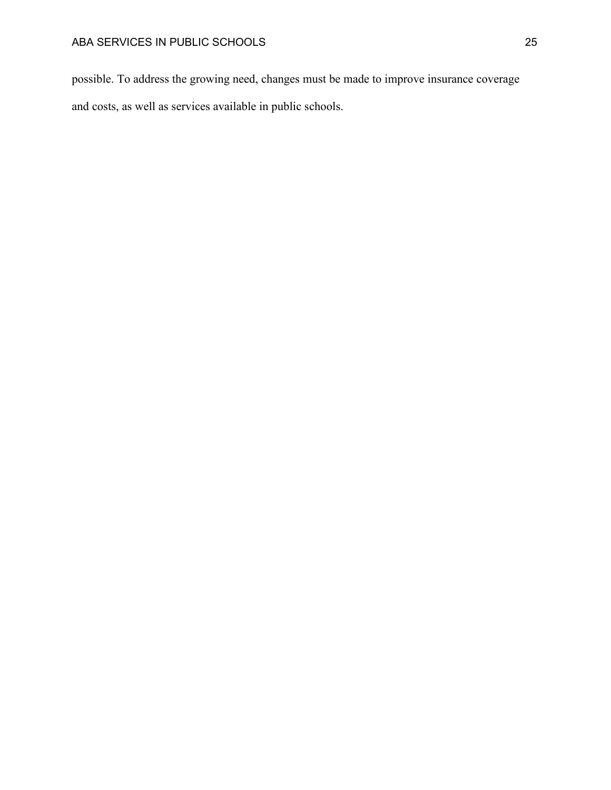possible. To address the growing need, changes must be made to improve insurance coverage and costs, as well as services available in public schools.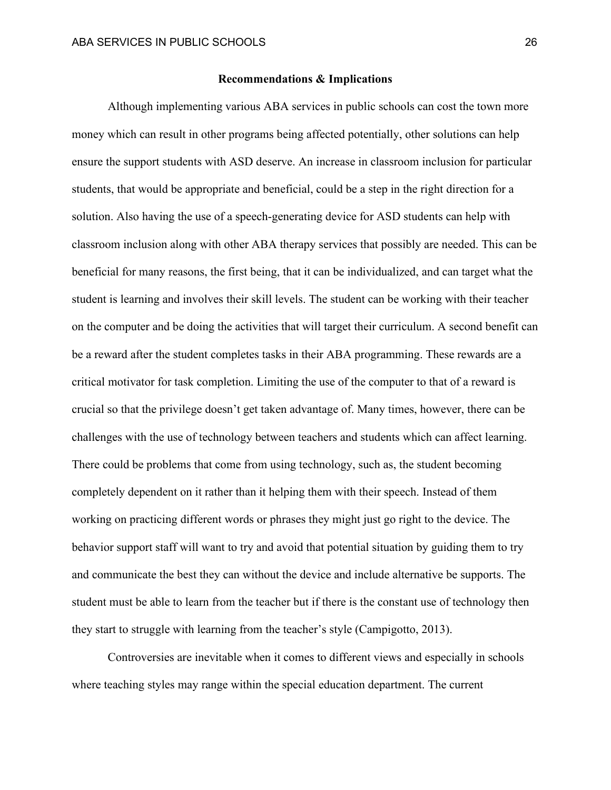#### **Recommendations & Implications**

Although implementing various ABA services in public schools can cost the town more money which can result in other programs being affected potentially, other solutions can help ensure the support students with ASD deserve. An increase in classroom inclusion for particular students, that would be appropriate and beneficial, could be a step in the right direction for a solution. Also having the use of a speech-generating device for ASD students can help with classroom inclusion along with other ABA therapy services that possibly are needed. This can be beneficial for many reasons, the first being, that it can be individualized, and can target what the student is learning and involves their skill levels. The student can be working with their teacher on the computer and be doing the activities that will target their curriculum. A second benefit can be a reward after the student completes tasks in their ABA programming. These rewards are a critical motivator for task completion. Limiting the use of the computer to that of a reward is crucial so that the privilege doesn't get taken advantage of. Many times, however, there can be challenges with the use of technology between teachers and students which can affect learning. There could be problems that come from using technology, such as, the student becoming completely dependent on it rather than it helping them with their speech. Instead of them working on practicing different words or phrases they might just go right to the device. The behavior support staff will want to try and avoid that potential situation by guiding them to try and communicate the best they can without the device and include alternative be supports. The student must be able to learn from the teacher but if there is the constant use of technology then they start to struggle with learning from the teacher's style (Campigotto, 2013).

Controversies are inevitable when it comes to different views and especially in schools where teaching styles may range within the special education department. The current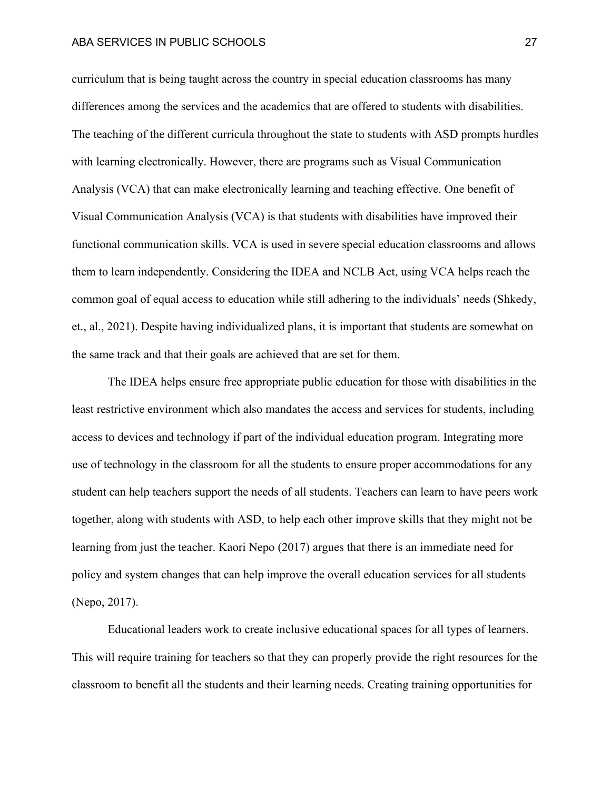curriculum that is being taught across the country in special education classrooms has many differences among the services and the academics that are offered to students with disabilities. The teaching of the different curricula throughout the state to students with ASD prompts hurdles with learning electronically. However, there are programs such as Visual Communication Analysis (VCA) that can make electronically learning and teaching effective. One benefit of Visual Communication Analysis (VCA) is that students with disabilities have improved their functional communication skills. VCA is used in severe special education classrooms and allows them to learn independently. Considering the IDEA and NCLB Act, using VCA helps reach the common goal of equal access to education while still adhering to the individuals' needs (Shkedy, et., al., 2021). Despite having individualized plans, it is important that students are somewhat on the same track and that their goals are achieved that are set for them.

The IDEA helps ensure free appropriate public education for those with disabilities in the least restrictive environment which also mandates the access and services for students, including access to devices and technology if part of the individual education program. Integrating more use of technology in the classroom for all the students to ensure proper accommodations for any student can help teachers support the needs of all students. Teachers can learn to have peers work together, along with students with ASD, to help each other improve skills that they might not be learning from just the teacher. Kaori Nepo (2017) argues that there is an immediate need for policy and system changes that can help improve the overall education services for all students (Nepo, 2017).

Educational leaders work to create inclusive educational spaces for all types of learners. This will require training for teachers so that they can properly provide the right resources for the classroom to benefit all the students and their learning needs. Creating training opportunities for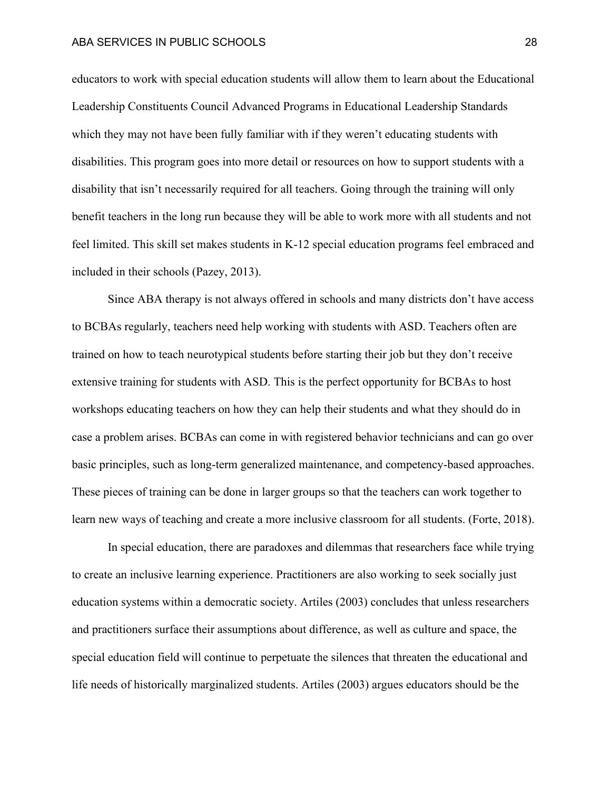educators to work with special education students will allow them to learn about the Educational Leadership Constituents Council Advanced Programs in Educational Leadership Standards which they may not have been fully familiar with if they weren't educating students with disabilities. This program goes into more detail or resources on how to support students with a disability that isn't necessarily required for all teachers. Going through the training will only benefit teachers in the long run because they will be able to work more with all students and not feel limited. This skill set makes students in K-12 special education programs feel embraced and included in their schools (Pazey, 2013).

Since ABA therapy is not always offered in schools and many districts don't have access to BCBAs regularly, teachers need help working with students with ASD. Teachers often are trained on how to teach neurotypical students before starting their job but they don't receive extensive training for students with ASD. This is the perfect opportunity for BCBAs to host workshops educating teachers on how they can help their students and what they should do in case a problem arises. BCBAs can come in with registered behavior technicians and can go over basic principles, such as long-term generalized maintenance, and competency-based approaches. These pieces of training can be done in larger groups so that the teachers can work together to learn new ways of teaching and create a more inclusive classroom for all students. (Forte, 2018).

In special education, there are paradoxes and dilemmas that researchers face while trying to create an inclusive learning experience. Practitioners are also working to seek socially just education systems within a democratic society. Artiles (2003) concludes that unless researchers and practitioners surface their assumptions about difference, as well as culture and space, the special education field will continue to perpetuate the silences that threaten the educational and life needs of historically marginalized students. Artiles (2003) argues educators should be the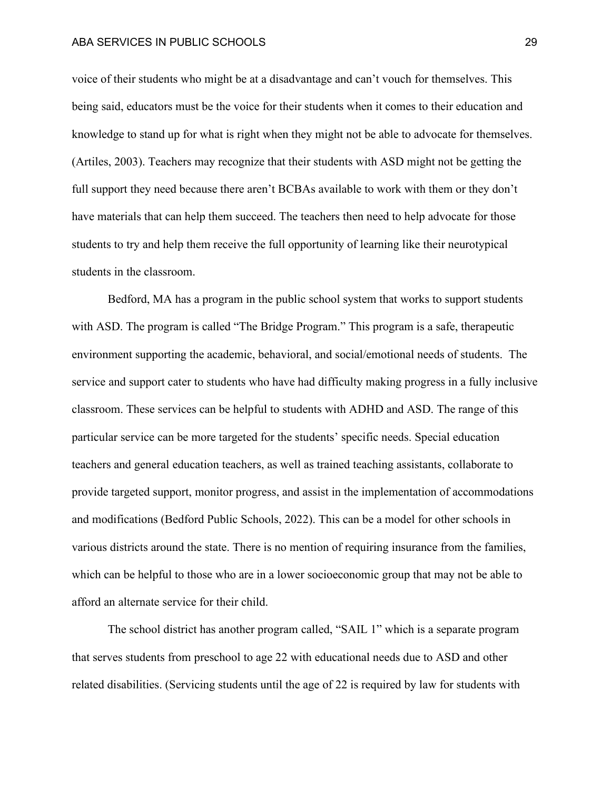voice of their students who might be at a disadvantage and can't vouch for themselves. This being said, educators must be the voice for their students when it comes to their education and knowledge to stand up for what is right when they might not be able to advocate for themselves. (Artiles, 2003). Teachers may recognize that their students with ASD might not be getting the full support they need because there aren't BCBAs available to work with them or they don't have materials that can help them succeed. The teachers then need to help advocate for those students to try and help them receive the full opportunity of learning like their neurotypical students in the classroom.

Bedford, MA has a program in the public school system that works to support students with ASD. The program is called "The Bridge Program." This program is a safe, therapeutic environment supporting the academic, behavioral, and social/emotional needs of students. The service and support cater to students who have had difficulty making progress in a fully inclusive classroom. These services can be helpful to students with ADHD and ASD. The range of this particular service can be more targeted for the students' specific needs. Special education teachers and general education teachers, as well as trained teaching assistants, collaborate to provide targeted support, monitor progress, and assist in the implementation of accommodations and modifications (Bedford Public Schools, 2022). This can be a model for other schools in various districts around the state. There is no mention of requiring insurance from the families, which can be helpful to those who are in a lower socioeconomic group that may not be able to afford an alternate service for their child.

The school district has another program called, "SAIL 1" which is a separate program that serves students from preschool to age 22 with educational needs due to ASD and other related disabilities. (Servicing students until the age of 22 is required by law for students with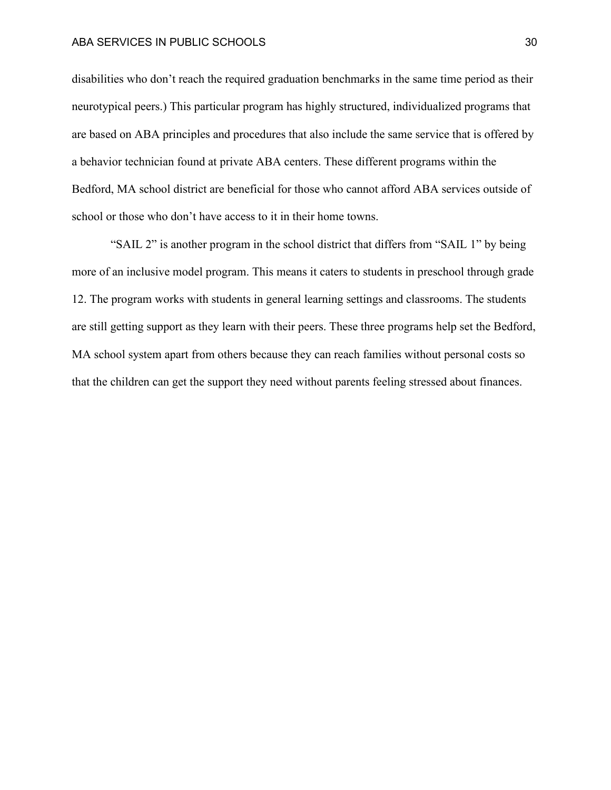disabilities who don't reach the required graduation benchmarks in the same time period as their neurotypical peers.) This particular program has highly structured, individualized programs that are based on ABA principles and procedures that also include the same service that is offered by a behavior technician found at private ABA centers. These different programs within the Bedford, MA school district are beneficial for those who cannot afford ABA services outside of school or those who don't have access to it in their home towns.

"SAIL 2" is another program in the school district that differs from "SAIL 1" by being more of an inclusive model program. This means it caters to students in preschool through grade 12. The program works with students in general learning settings and classrooms. The students are still getting support as they learn with their peers. These three programs help set the Bedford, MA school system apart from others because they can reach families without personal costs so that the children can get the support they need without parents feeling stressed about finances.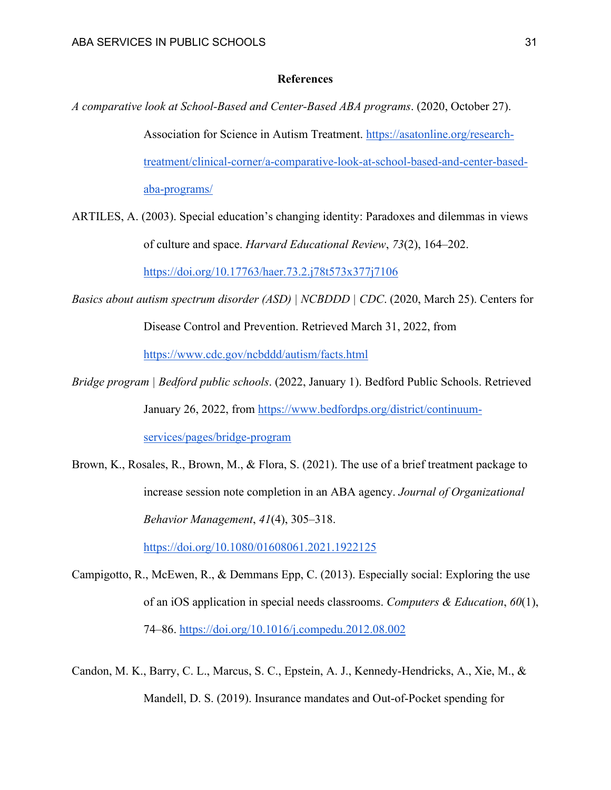## **References**

- *A comparative look at School-Based and Center-Based ABA programs*. (2020, October 27). Association for Science in Autism Treatment. [https://asatonline.org/research](https://asatonline.org/research-treatment/clinical-corner/a-comparative-look-at-school-based-and-center-based-aba-programs/)[treatment/clinical-corner/a-comparative-look-at-school-based-and-center-based](https://asatonline.org/research-treatment/clinical-corner/a-comparative-look-at-school-based-and-center-based-aba-programs/)[aba-programs/](https://asatonline.org/research-treatment/clinical-corner/a-comparative-look-at-school-based-and-center-based-aba-programs/)
- ARTILES, A. (2003). Special education's changing identity: Paradoxes and dilemmas in views of culture and space. *Harvard Educational Review*, *73*(2), 164–202. <https://doi.org/10.17763/haer.73.2.j78t573x377j7106>
- *Basics about autism spectrum disorder (ASD) | NCBDDD | CDC*. (2020, March 25). Centers for Disease Control and Prevention. Retrieved March 31, 2022, from <https://www.cdc.gov/ncbddd/autism/facts.html>
- *Bridge program | Bedford public schools*. (2022, January 1). Bedford Public Schools. Retrieved January 26, 2022, from [https://www.bedfordps.org/district/continuum](https://www.bedfordps.org/district/continuum-services/pages/bridge-program)[services/pages/bridge-program](https://www.bedfordps.org/district/continuum-services/pages/bridge-program)
- Brown, K., Rosales, R., Brown, M., & Flora, S. (2021). The use of a brief treatment package to increase session note completion in an ABA agency. *Journal of Organizational Behavior Management*, *41*(4), 305–318.

<https://doi.org/10.1080/01608061.2021.1922125>

- Campigotto, R., McEwen, R., & Demmans Epp, C. (2013). Especially social: Exploring the use of an iOS application in special needs classrooms. *Computers & Education*, *60*(1), 74–86.<https://doi.org/10.1016/j.compedu.2012.08.002>
- Candon, M. K., Barry, C. L., Marcus, S. C., Epstein, A. J., Kennedy-Hendricks, A., Xie, M., & Mandell, D. S. (2019). Insurance mandates and Out-of-Pocket spending for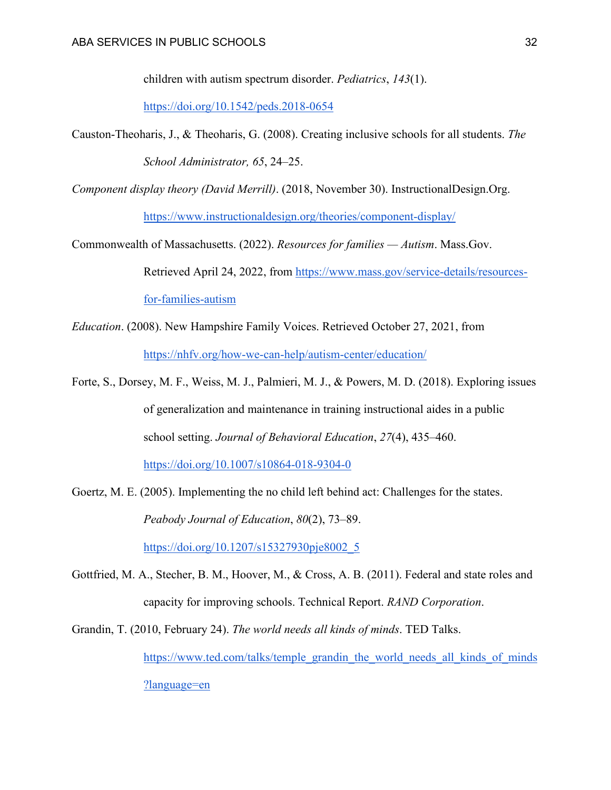children with autism spectrum disorder. *Pediatrics*, *143*(1).

<https://doi.org/10.1542/peds.2018-0654>

- Causton-Theoharis, J., & Theoharis, G. (2008). Creating inclusive schools for all students. *The School Administrator, 65*, 24–25.
- *Component display theory (David Merrill)*. (2018, November 30). InstructionalDesign.Org.

<https://www.instructionaldesign.org/theories/component-display/>

- Commonwealth of Massachusetts. (2022). *Resources for families — Autism*. Mass.Gov. Retrieved April 24, 2022, from [https://www.mass.gov/service-details/resources](https://www.mass.gov/service-details/resources-for-families-autism)[for-families-autism](https://www.mass.gov/service-details/resources-for-families-autism)
- *Education*. (2008). New Hampshire Family Voices. Retrieved October 27, 2021, from <https://nhfv.org/how-we-can-help/autism-center/education/>
- Forte, S., Dorsey, M. F., Weiss, M. J., Palmieri, M. J., & Powers, M. D. (2018). Exploring issues of generalization and maintenance in training instructional aides in a public school setting. *Journal of Behavioral Education*, *27*(4), 435–460. <https://doi.org/10.1007/s10864-018-9304-0>
- Goertz, M. E. (2005). Implementing the no child left behind act: Challenges for the states. *Peabody Journal of Education*, *80*(2), 73–89. [https://doi.org/10.1207/s15327930pje8002\\_5](https://doi.org/10.1207/s15327930pje8002_5)
- Gottfried, M. A., Stecher, B. M., Hoover, M., & Cross, A. B. (2011). Federal and state roles and capacity for improving schools. Technical Report. *RAND Corporation*.
- Grandin, T. (2010, February 24). *The world needs all kinds of minds*. TED Talks. [https://www.ted.com/talks/temple\\_grandin\\_the\\_world\\_needs\\_all\\_kinds\\_of\\_minds](https://www.ted.com/talks/temple_grandin_the_world_needs_all_kinds_of_minds?language=en) [?language=en](https://www.ted.com/talks/temple_grandin_the_world_needs_all_kinds_of_minds?language=en)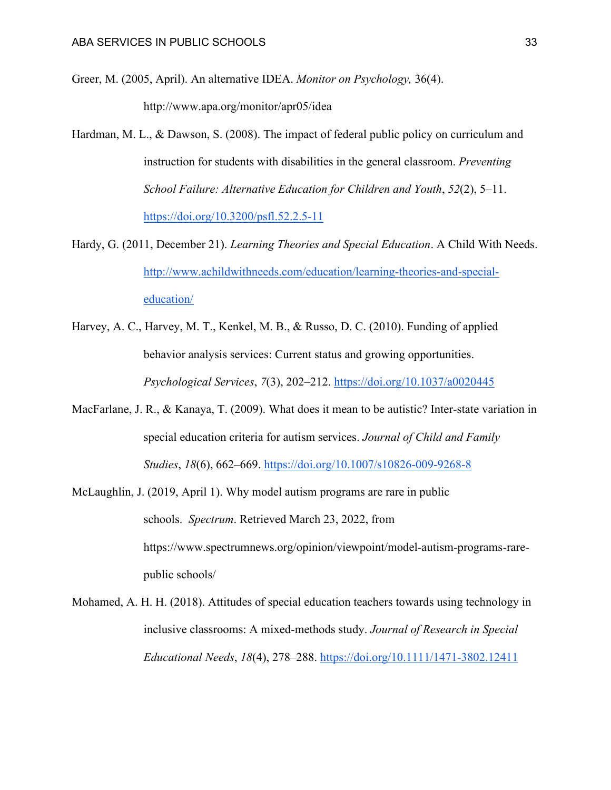Greer, M. (2005, April). An alternative IDEA. *Monitor on Psychology,* 36(4).

http://www.apa.org/monitor/apr05/idea

- Hardman, M. L., & Dawson, S. (2008). The impact of federal public policy on curriculum and instruction for students with disabilities in the general classroom. *Preventing School Failure: Alternative Education for Children and Youth*, *52*(2), 5–11. <https://doi.org/10.3200/psfl.52.2.5-11>
- Hardy, G. (2011, December 21). *Learning Theories and Special Education*. A Child With Needs. [http://www.achildwithneeds.com/education/learning-theories-and-special](http://www.achildwithneeds.com/education/learning-theories-and-special-education/)[education/](http://www.achildwithneeds.com/education/learning-theories-and-special-education/)
- Harvey, A. C., Harvey, M. T., Kenkel, M. B., & Russo, D. C. (2010). Funding of applied behavior analysis services: Current status and growing opportunities. *Psychological Services*, *7*(3), 202–212.<https://doi.org/10.1037/a0020445>
- MacFarlane, J. R., & Kanaya, T. (2009). What does it mean to be autistic? Inter-state variation in special education criteria for autism services. *Journal of Child and Family Studies*, *18*(6), 662–669.<https://doi.org/10.1007/s10826-009-9268-8>
- McLaughlin, J. (2019, April 1). Why model autism programs are rare in public schools. *Spectrum*. Retrieved March 23, 2022, from https://www.spectrumnews.org/opinion/viewpoint/model-autism-programs-rarepublic schools/
- Mohamed, A. H. H. (2018). Attitudes of special education teachers towards using technology in inclusive classrooms: A mixed-methods study. *Journal of Research in Special Educational Needs*, *18*(4), 278–288.<https://doi.org/10.1111/1471-3802.12411>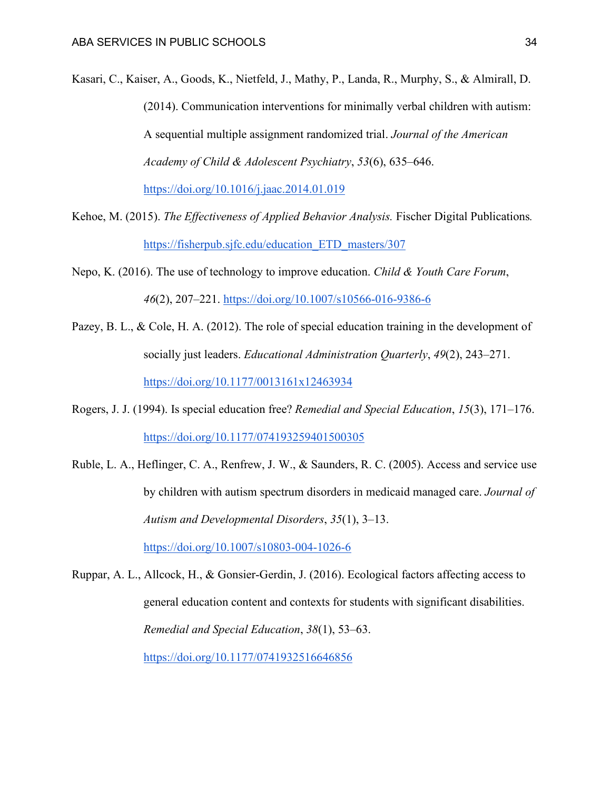- Kasari, C., Kaiser, A., Goods, K., Nietfeld, J., Mathy, P., Landa, R., Murphy, S., & Almirall, D. (2014). Communication interventions for minimally verbal children with autism: A sequential multiple assignment randomized trial. *Journal of the American Academy of Child & Adolescent Psychiatry*, *53*(6), 635–646. <https://doi.org/10.1016/j.jaac.2014.01.019>
- Kehoe, M. (2015). *The Effectiveness of Applied Behavior Analysis.* Fischer Digital Publications*.* [https://fisherpub.sjfc.edu/education\\_ETD\\_masters/307](https://fisherpub.sjfc.edu/education_ETD_masters/307)
- Nepo, K. (2016). The use of technology to improve education. *Child & Youth Care Forum*, *46*(2), 207–221.<https://doi.org/10.1007/s10566-016-9386-6>
- Pazey, B. L., & Cole, H. A. (2012). The role of special education training in the development of socially just leaders. *Educational Administration Quarterly*, *49*(2), 243–271. <https://doi.org/10.1177/0013161x12463934>
- Rogers, J. J. (1994). Is special education free? *Remedial and Special Education*, *15*(3), 171–176. <https://doi.org/10.1177/074193259401500305>
- Ruble, L. A., Heflinger, C. A., Renfrew, J. W., & Saunders, R. C. (2005). Access and service use by children with autism spectrum disorders in medicaid managed care. *Journal of Autism and Developmental Disorders*, *35*(1), 3–13. <https://doi.org/10.1007/s10803-004-1026-6>
- Ruppar, A. L., Allcock, H., & Gonsier-Gerdin, J. (2016). Ecological factors affecting access to general education content and contexts for students with significant disabilities. *Remedial and Special Education*, *38*(1), 53–63. <https://doi.org/10.1177/0741932516646856>